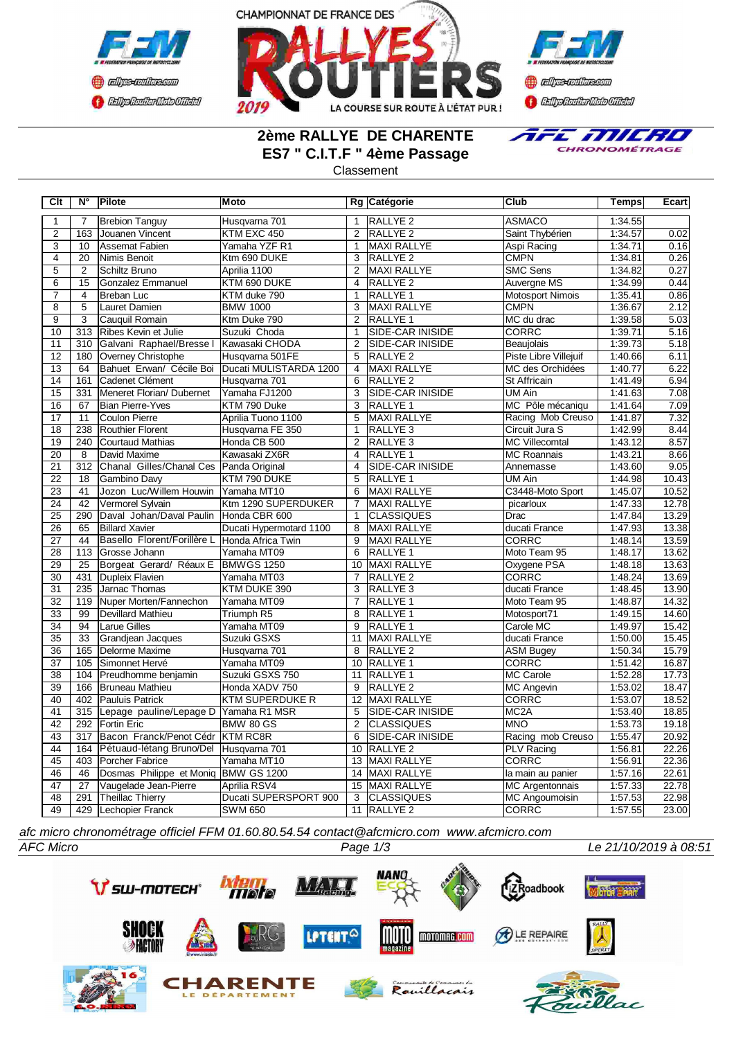





## **2ème RALLYE DE CHARENTE ES7 " C.I.T.F " 4ème Passage**



Classement

| Clt             | $N^{\circ}$      | Pilote                      | <b>Moto</b>             |                 | Rg Catégorie            | Club                    | Temps   | Ecart |
|-----------------|------------------|-----------------------------|-------------------------|-----------------|-------------------------|-------------------------|---------|-------|
| 1               | $\overline{7}$   | <b>Brebion Tanguy</b>       | Husqvarna 701           | 1               | RALLYE <sub>2</sub>     | <b>ASMACO</b>           | 1:34.55 |       |
| $\overline{2}$  | 163              | Jouanen Vincent             | KTM EXC 450             | 2               | <b>RALLYE 2</b>         | Saint Thybérien         | 1:34.57 | 0.02  |
| $\overline{3}$  | 10               | <b>Assemat Fabien</b>       | Yamaha YZF R1           | 1               | <b>MAXI RALLYE</b>      | Aspi Racing             | 1:34.71 | 0.16  |
| $\overline{4}$  | 20               | Nimis Benoit                | Ktm 690 DUKE            | $\overline{3}$  | <b>RALLYE 2</b>         | <b>CMPN</b>             | 1:34.81 | 0.26  |
| $\overline{5}$  | 2                | Schiltz Bruno               | Aprilia 1100            | 2               | <b>MAXI RALLYE</b>      | <b>SMC Sens</b>         | 1:34.82 | 0.27  |
| 6               | 15               | Gonzalez Emmanuel           | KTM 690 DUKE            | $\overline{4}$  | <b>RALLYE 2</b>         | Auvergne MS             | 1:34.99 | 0.44  |
| $\overline{7}$  | 4                | <b>Breban Luc</b>           | KTM duke 790            | 1               | RALLYE <sub>1</sub>     | <b>Motosport Nimois</b> | 1:35.41 | 0.86  |
| $\overline{8}$  | $\overline{5}$   | Lauret Damien               | <b>BMW 1000</b>         | 3               | <b>MAXI RALLYE</b>      | <b>CMPN</b>             | 1:36.67 | 2.12  |
| $\overline{9}$  | $\overline{3}$   | Cauquil Romain              | Ktm Duke 790            | 2               | RALLYE <sub>1</sub>     | MC du drac              | 1:39.58 | 5.03  |
| 10              | 313              | Ribes Kevin et Julie        | Suzuki Choda            | $\overline{1}$  | SIDE-CAR INISIDE        | <b>CORRC</b>            | 1:39.71 | 5.16  |
| 11              | $\overline{310}$ | Galvani Raphael/Bresse I    | Kawasaki CHODA          | $\overline{2}$  | <b>SIDE-CAR INISIDE</b> | Beaujolais              | 1:39.73 | 5.18  |
| 12              | 180              | Overney Christophe          | Husqvarna 501FE         | $\overline{5}$  | <b>RALLYE 2</b>         | Piste Libre Villejuif   | 1:40.66 | 6.11  |
| $\overline{13}$ | 64               | Bahuet Erwan/ Cécile Boi    | Ducati MULISTARDA 1200  | 4               | <b>MAXI RALLYE</b>      | MC des Orchidées        | 1:40.77 | 6.22  |
| 14              | 161              | <b>I</b> Cadenet Clément    | Husqvarna 701           | 6               | <b>RALLYE 2</b>         | <b>St Affricain</b>     | 1:41.49 | 6.94  |
| $\overline{15}$ | 331              | Meneret Florian/Dubernet    | Yamaha FJ1200           | 3               | <b>SIDE-CAR INISIDE</b> | <b>UM Ain</b>           | 1:41.63 | 7.08  |
| 16              | 67               | <b>Bian Pierre-Yves</b>     | KTM 790 Duke            | 3               | RALLYE 1                | MC Pôle mécaniqu        | 1:41.64 | 7.09  |
| 17              | 11               | <b>Coulon Pierre</b>        | Aprilia Tuono 1100      | 5               | MAXI RALLYE             | Racing Mob Creuso       | 1:41.87 | 7.32  |
| $\overline{18}$ | 238              | Routhier Florent            | Husqvarna FE 350        | $\mathbf{1}$    | RALLYE <sub>3</sub>     | Circuit Jura S          | 1:42.99 | 8.44  |
| 19              | 240              | Courtaud Mathias            | Honda CB 500            | 2               | RALLYE <sub>3</sub>     | MC Villecomtal          | 1:43.12 | 8.57  |
| 20              | 8                | David Maxime                | Kawasaki ZX6R           | $\overline{4}$  | RALLYE <sub>1</sub>     | <b>MC Roannais</b>      | 1:43.21 | 8.66  |
| $\overline{21}$ | 312              | Chanal Gilles/Chanal Ces    | Panda Original          | 4               | <b>SIDE-CAR INISIDE</b> | Annemasse               | 1:43.60 | 9.05  |
| $\overline{22}$ | 18               | Gambino Davy                | KTM 790 DUKE            | 5               | <b>RALLYE 1</b>         | UM Ain                  | 1:44.98 | 10.43 |
| $\overline{23}$ | 41               | Jozon Luc/Willem Houwin     | Yamaha MT10             | 6               | <b>MAXI RALLYE</b>      | C3448-Moto Sport        | 1:45.07 | 10.52 |
| $\overline{24}$ | $\overline{42}$  | Vermorel Sylvain            | Ktm 1290 SUPERDUKER     | $\overline{7}$  | <b>MAXI RALLYE</b>      | picarloux               | 1:47.33 | 12.78 |
| $\overline{25}$ | 290              | Daval Johan/Daval Paulin    | Honda CBR 600           | $\mathbf{1}$    | <b>CLASSIQUES</b>       | Drac                    | 1:47.84 | 13.29 |
| $\overline{26}$ | 65               | <b>Billard Xavier</b>       | Ducati Hypermotard 1100 | 8               | <b>MAXI RALLYE</b>      | ducati France           | 1:47.93 | 13.38 |
| 27              | 44               | Basello Florent/Forillère L | Honda Africa Twin       | 9               | MAXI RALLYE             | <b>CORRC</b>            | 1:48.14 | 13.59 |
| 28              | 113              | Grosse Johann               | Yamaha MT09             | 6               | RALLYE 1                | Moto Team 95            | 1:48.17 | 13.62 |
| 29              | 25               | Borgeat Gerard/ Réaux E     | BMWGS 1250              | 10              | <b>MAXI RALLYE</b>      | Oxygene PSA             | 1:48.18 | 13.63 |
| 30              | 431              | Dupleix Flavien             | Yamaha MT03             | 7               | RALLYE <sub>2</sub>     | <b>CORRC</b>            | 1:48.24 | 13.69 |
| $\overline{31}$ | 235              | Jarnac Thomas               | KTM DUKE 390            | 3               | RALLYE <sub>3</sub>     | ducati France           | 1:48.45 | 13.90 |
| $\overline{32}$ | 119              | Nuper Morten/Fannechon      | Yamaha MT09             | 7               | RALLYE <sub>1</sub>     | Moto Team 95            | 1:48.87 | 14.32 |
| $\overline{33}$ | 99               | <b>Devillard Mathieu</b>    | Triumph R5              | $\overline{8}$  | RALLYE <sub>1</sub>     | Motosport71             | 1:49.15 | 14.60 |
| $\overline{34}$ | 94               | <b>Larue Gilles</b>         | Yamaha MT09             | 9               | RALLYE <sub>1</sub>     | Carole MC               | 1:49.97 | 15.42 |
| 35              | 33               | <b>Grandjean Jacques</b>    | Suzuki GSXS             | 11              | <b>MAXI RALLYE</b>      | ducati France           | 1:50.00 | 15.45 |
| 36              | 165              | Delorme Maxime              | Husqvarna 701           | 8               | RALLYE <sub>2</sub>     | <b>ASM Bugey</b>        | 1:50.34 | 15.79 |
| 37              | 105              | Simonnet Hervé              | Yamaha MT09             | 10              | RALLYE 1                | <b>CORRC</b>            | 1:51.42 | 16.87 |
| $\overline{38}$ | 104              | Preudhomme benjamin         | Suzuki GSXS 750         | 11              | <b>RALLYE 1</b>         | <b>MC Carole</b>        | 1:52.28 | 17.73 |
| 39              | 166              | <b>Bruneau Mathieu</b>      | Honda XADV 750          | 9               | RALLYE <sub>2</sub>     | <b>MC Angevin</b>       | 1:53.02 | 18.47 |
| 40              | 402              | Pauluis Patrick             | <b>KTM SUPERDUKE R</b>  | 12              | MAXI RALLYE             | <b>CORRC</b>            | 1:53.07 | 18.52 |
| 41              | 315              | Lepage pauline/Lepage D     | Yamaha R1 MSR           | 5               | SIDE-CAR INISIDE        | MC <sub>2</sub> A       | 1:53.40 | 18.85 |
| $\overline{42}$ | 292              | Fortin Eric                 | <b>BMW 80 GS</b>        | $\overline{2}$  | <b>CLASSIQUES</b>       | <b>MNO</b>              | 1:53.73 | 19.18 |
| 43              | 317              | Bacon Franck/Penot Cédr     | <b>KTM RC8R</b>         | 6               | <b>SIDE-CAR INISIDE</b> | Racing mob Creuso       | 1:55.47 | 20.92 |
| 44              | 164              | Pétuaud-létang Bruno/Del    | Husqvarna 701           | 10              | <b>RALLYE 2</b>         | <b>PLV Racing</b>       | 1:56.81 | 22.26 |
| 45              | 403              | Porcher Fabrice             | Yamaha MT10             | $\overline{13}$ | <b>MAXI RALLYE</b>      | <b>CORRC</b>            | 1:56.91 | 22.36 |
| 46              | $\overline{46}$  | Dosmas Philippe et Moniq    | <b>BMW GS 1200</b>      | 14              | <b>MAXI RALLYE</b>      | la main au panier       | 1:57.16 | 22.61 |
| 47              | 27               | Vaugelade Jean-Pierre       | Aprilia RSV4            | 15              | MAXI RALLYE             | <b>MC Argentonnais</b>  | 1:57.33 | 22.78 |
| 48              | 291              | <b>Theillac Thierry</b>     | Ducati SUPERSPORT 900   | 3               | <b>CLASSIQUES</b>       | <b>MC Angoumoisin</b>   | 1:57.53 | 22.98 |
| 49              | 429              | Lechopier Franck            | <b>SWM 650</b>          |                 | 11 RALLYE 2             | <b>CORRC</b>            | 1:57.55 | 23.00 |

*afc micro chronométrage officiel FFM 01.60.80.54.54 contact@afcmicro.com www.afcmicro.com*

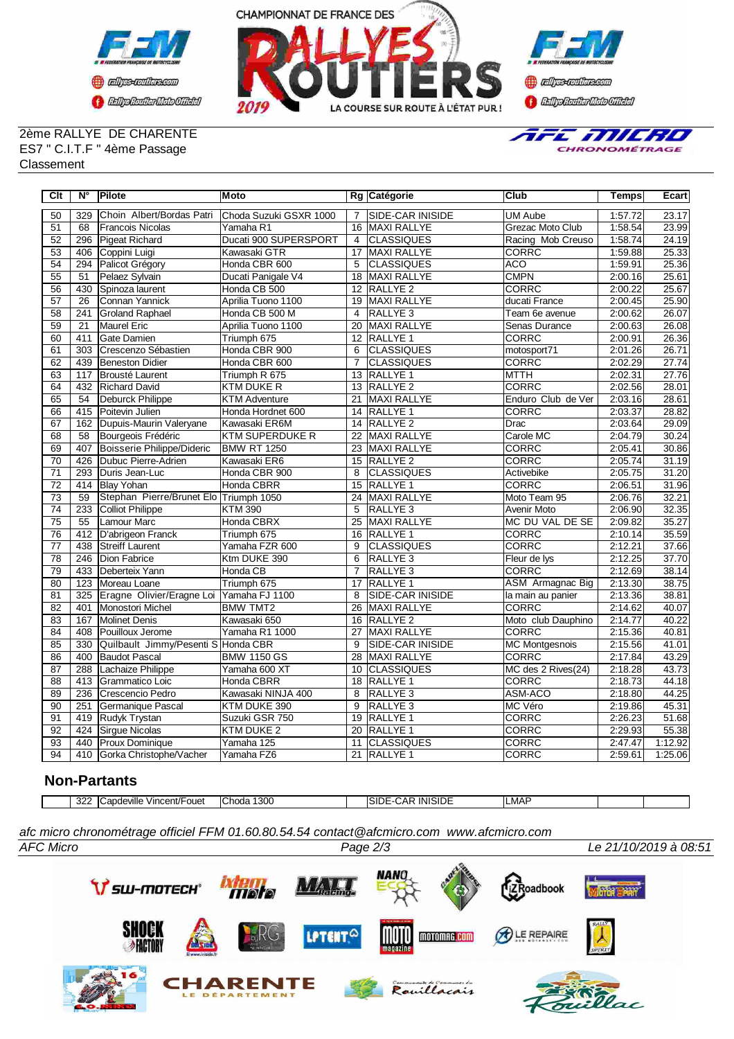



2ème RALLYE DE CHARENTE ES7 " C.I.T.F " 4ème Passage Classement



| Clt             | $N^{\circ}$      | <b>Pilote</b>                            | <b>Moto</b>            |                 | Rg Catégorie            | <b>Club</b>             | Temps   | Ecart   |
|-----------------|------------------|------------------------------------------|------------------------|-----------------|-------------------------|-------------------------|---------|---------|
| 50              | 329              | Choin Albert/Bordas Patri                | Choda Suzuki GSXR 1000 | $\overline{7}$  | SIDE-CAR INISIDE        | <b>UM Aube</b>          | 1:57.72 | 23.17   |
| $\overline{51}$ | 68               | <b>IFrancois Nicolas</b>                 | Yamaha R1              | 16              | MAXI RALLYE             | Grezac Moto Club        | 1:58.54 | 23.99   |
| 52              | 296              | Pigeat Richard                           | Ducati 900 SUPERSPORT  | $\overline{4}$  | <b>CLASSIQUES</b>       | Racing Mob Creuso       | 1:58.74 | 24.19   |
| 53              | 406              | Coppini Luigi                            | Kawasaki GTR           | 17              | MAXI RALLYE             | CORRC                   | 1:59.88 | 25.33   |
| 54              | 294              | Palicot Grégory                          | Honda CBR 600          | 5               | <b>CLASSIQUES</b>       | <b>ACO</b>              | 1:59.91 | 25.36   |
| 55              | 51               | Pelaez Sylvain                           | Ducati Panigale V4     | 18              | MAXI RALLYE             | <b>CMPN</b>             | 2:00.16 | 25.61   |
| 56              | 430              | Spinoza laurent                          | Honda CB 500           | $\overline{12}$ | RALLYE <sub>2</sub>     | <b>CORRC</b>            | 2:00.22 | 25.67   |
| 57              | $\overline{26}$  | Connan Yannick                           | Aprilia Tuono 1100     | 19              | <b>MAXI RALLYE</b>      | ducati France           | 2:00.45 | 25.90   |
| 58              | 241              | <b>Groland Raphael</b>                   | Honda CB 500 M         | $\overline{4}$  | RALLYE <sub>3</sub>     | Team 6e avenue          | 2:00.62 | 26.07   |
| 59              | $\overline{21}$  | Maurel Eric                              | Aprilia Tuono 1100     | $\overline{20}$ | <b>MAXI RALLYE</b>      | <b>Senas Durance</b>    | 2:00.63 | 26.08   |
| 60              | 411              | <b>Gate Damien</b>                       | Triumph 675            | 12              | <b>RALLYE 1</b>         | <b>CORRC</b>            | 2:00.91 | 26.36   |
| 61              | 303              | <b>ICrescenzo Sébastien</b>              | Honda CBR 900          | 6               | <b>CLASSIQUES</b>       | motosport71             | 2:01.26 | 26.71   |
| 62              | 439              | <b>Beneston Didier</b>                   | Honda CBR 600          | 7               | <b>CLASSIQUES</b>       | <b>CORRC</b>            | 2:02.29 | 27.74   |
| 63              | 117              | Brousté Laurent                          | Triumph R 675          | 13              | RALLYE <sub>1</sub>     | мттн                    | 2:02.31 | 27.76   |
| 64              | 432              | <b>Richard David</b>                     | KTM DUKE R             |                 | 13 RALLYE 2             | <b>CORRC</b>            | 2:02.56 | 28.01   |
| 65              | 54               | Deburck Philippe                         | <b>KTM Adventure</b>   | 21              | MAXI RALLYE             | Enduro Club de Ver      | 2:03.16 | 28.61   |
| 66              | 415              | Poitevin Julien                          | Honda Hordnet 600      | 14              | <b>RALLYE 1</b>         | <b>CORRC</b>            | 2:03.37 | 28.82   |
| 67              | 162              | Dupuis-Maurin Valeryane                  | Kawasaki ER6M          | 14              | <b>RALLYE 2</b>         | Drac                    | 2:03.64 | 29.09   |
| 68              | 58               | Bourgeois Frédéric                       | <b>KTM SUPERDUKE R</b> | $\overline{22}$ | <b>MAXI RALLYE</b>      | Carole MC               | 2:04.79 | 30.24   |
| 69              | 407              | Boisserie Philippe/Dideric               | <b>BMW RT 1250</b>     | 23              | <b>MAXI RALLYE</b>      | CORRC                   | 2:05.41 | 30.86   |
| 70              | 426              | Dubuc Pierre-Adrien                      | Kawasaki ER6           | 15              | <b>RALLYE 2</b>         | <b>CORRC</b>            | 2:05.74 | 31.19   |
| $\overline{71}$ | 293              | Duris Jean-Luc                           | Honda CBR 900          | 8               | <b>ICLASSIQUES</b>      | Activebike              | 2:05.75 | 31.20   |
| $\overline{72}$ | 414              | <b>Blay Yohan</b>                        | <b>Honda CBRR</b>      | $\overline{15}$ | <b>RALLYE 1</b>         | <b>CORRC</b>            | 2:06.51 | 31.96   |
| 73              | 59               | Stephan Pierre/Brunet Elo Triumph 1050   |                        | 24              | <b>MAXI RALLYE</b>      | Moto Team 95            | 2:06.76 | 32.21   |
| $\overline{74}$ | 233              | Colliot Philippe                         | <b>KTM 390</b>         | 5               | RALLYE <sub>3</sub>     | Avenir Moto             | 2:06.90 | 32.35   |
| $\overline{75}$ | 55               | Lamour Marc                              | Honda CBRX             | 25              | <b>MAXI RALLYE</b>      | MC DU VAL DE SE         | 2:09.82 | 35.27   |
| 76              | 412              | D'abrigeon Franck                        | Triumph 675            | 16              | <b>RALLYE 1</b>         | CORRC                   | 2:10.14 | 35.59   |
| $\overline{77}$ | 438              | <b>Streiff Laurent</b>                   | Yamaha FZR 600         | $\overline{9}$  | <b>CLASSIQUES</b>       | <b>CORRC</b>            | 2:12.21 | 37.66   |
| $\overline{78}$ | $\overline{246}$ | Dion Fabrice                             | Ktm DUKE 390           | 6               | RALLYE <sub>3</sub>     | Fleur de lys            | 2:12.25 | 37.70   |
| 79              | 433              | Deberteix Yann                           | Honda CB               | $\overline{7}$  | RALLYE <sub>3</sub>     | <b>CORRC</b>            | 2:12.69 | 38.14   |
| 80              | 123              | Moreau Loane                             | Triumph 675            | 17              | <b>RALLYE 1</b>         | <b>ASM</b> Armagnac Big | 2:13.30 | 38.75   |
| 81              | 325              | Eragne Olivier/Eragne Loi Yamaha FJ 1100 |                        | 8               | <b>SIDE-CAR INISIDE</b> | la main au panier       | 2:13.36 | 38.81   |
| $\overline{82}$ | 401              | Monostori Michel                         | <b>BMW TMT2</b>        | 26              | MAXI RALLYE             | <b>CORRC</b>            | 2:14.62 | 40.07   |
| 83              | 167              | <b>Molinet Denis</b>                     | Kawasaki 650           | 16              | RALLYE <sub>2</sub>     | Moto club Dauphino      | 2:14.77 | 40.22   |
| 84              | 408              | Pouilloux Jerome                         | Yamaha R1 1000         | 27              | <b>MAXI RALLYE</b>      | <b>CORRC</b>            | 2:15.36 | 40.81   |
| 85              | 330              | Quilbault Jimmy/Pesenti S Honda CBR      |                        | 9               | SIDE-CAR INISIDE        | MC Montgesnois          | 2:15.56 | 41.01   |
| 86              | 400              | Baudot Pascal                            | <b>BMW 1150 GS</b>     | 28              | MAXI RALLYE             | <b>CORRC</b>            | 2:17.84 | 43.29   |
| 87              | 288              | Lachaize Philippe                        | Yamaha 600 XT          | 10              | <b>CLASSIQUES</b>       | MC des 2 Rives(24)      | 2:18.28 | 43.73   |
| 88              | 413              | Grammatico Loic                          | <b>Honda CBRR</b>      | 18              | <b>RALLYE 1</b>         | <b>CORRC</b>            | 2:18.73 | 44.18   |
| 89              | 236              | Crescencio Pedro                         | Kawasaki NINJA 400     | 8               | RALLYE <sub>3</sub>     | ASM-ACO                 | 2:18.80 | 44.25   |
| 90              | 251              | Germanique Pascal                        | KTM DUKE 390           | $\overline{9}$  | RALLYE <sub>3</sub>     | MC Véro                 | 2:19.86 | 45.31   |
| 91              | 419              | Rudyk Trystan                            | Suzuki GSR 750         | 19              | <b>RALLYE 1</b>         | <b>CORRC</b>            | 2:26.23 | 51.68   |
| $\overline{92}$ | 424              | Sirgue Nicolas                           | KTM DUKE 2             | 20              | RALLYE <sub>1</sub>     | CORRC                   | 2:29.93 | 55.38   |
| $\overline{93}$ | 440              | Proux Dominique                          | Yamaha 125             | 11              | <b>CLASSIQUES</b>       | CORRC                   | 2:47.47 | 1:12.92 |
| 94              | 410              | Gorka Christophe/Vacher                  | Yamaha FZ6             |                 | 21 RALLYE 1             | <b>CORRC</b>            | 2:59.61 | 1:25.06 |

## **Non-Partants**

|  |  | 000<br>ے ت | <br>าdeville<br>'⊓cent/Fouet | 300<br>-<br>- IC.<br>hoda | SID<br>⊣NI <sup>⇔</sup><br>- 11<br>.<br>$\overline{\phantom{a}}$ | ILMAF |  |  |
|--|--|------------|------------------------------|---------------------------|------------------------------------------------------------------|-------|--|--|
|--|--|------------|------------------------------|---------------------------|------------------------------------------------------------------|-------|--|--|

*AFC Micro Page 2/3 Le 21/10/2019 à 08:51 afc micro chronométrage officiel FFM 01.60.80.54.54 contact@afcmicro.com www.afcmicro.com*